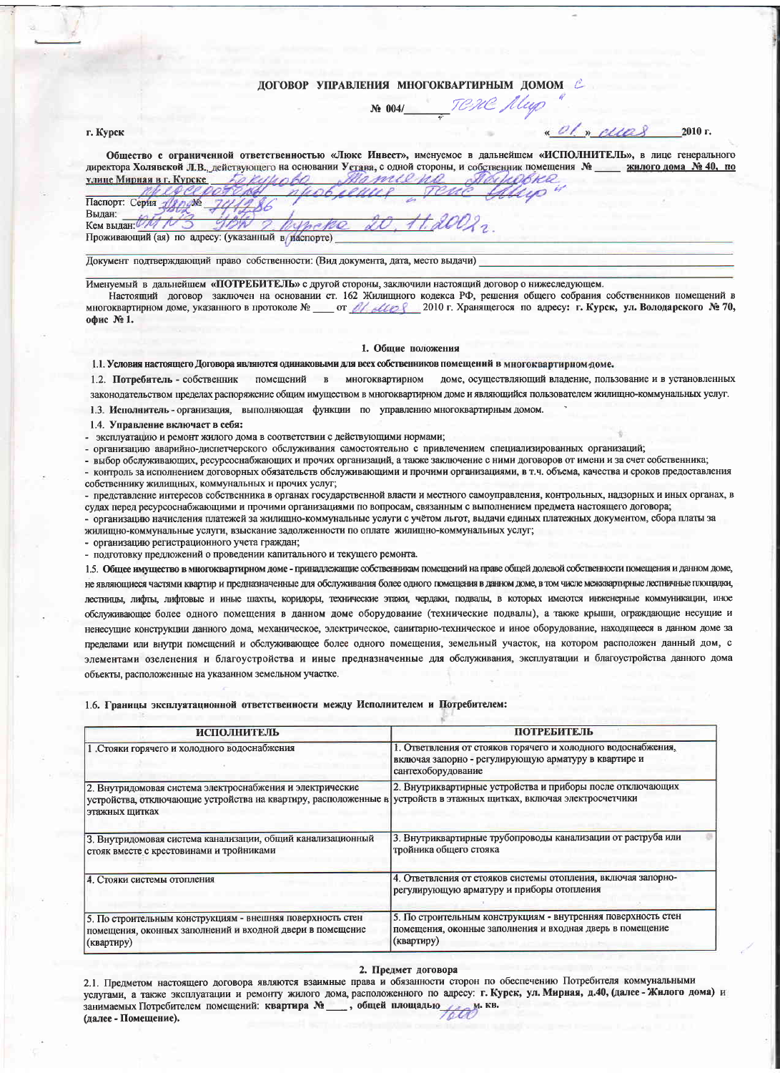## ДОГОВОР УПРАВЛЕНИЯ МНОГОКВАРТИРНЫМ ДОМОМ

2010 г.

No 0041 TONE Aley

### г. Курск

Общество с ограниченной ответственностью «Люкс Инвест», именуемое в дальнейшем «ИСПОЛНИТЕЛЬ», в лице генерального директора Холявской Л.В., действующего на основании Устава, с одной стороны, и собственник помещения № жилого дома № 40, по улице Мирная в г. Курске MORRE

Паспорт: Серия Дирум Вылан: TD. Кем вылан И Проживающий (ая) по адресу: (указанный в наспорте)

Документ подтверждающий право собственности: (Вид документа, дата, место выдачи)

Именуемый в дальнейшем «ПОТРЕБИТЕЛЬ» с другой стороны, заключили настоящий договор о нижеследующем.

Настоящий договор заключен на основании ст. 162 Жилищного кодекса РФ, решения общего собрания собственников помещений в офис №1.

#### 1. Общие положения

1.1. Условия настоящего Договора являются одинаковыми для всех собственников помещений в многоквартирном доме.

1.2. Потребитель - собственник помещений в многоквартирном доме, осуществляющий владение, пользование и в установленных

законодательством пределах распоряжение общим имуществом в многоквартирном доме и являющийся пользователем жилищно-коммунальных услуг.

1.3. Исполнитель - организация, выполняющая функции по управлению многоквартирным домом.

14 Управление включает в себя:

эксплуатацию и ремонт жилого дома в соответствии с действующими нормами;

организацию аварийно-лиспетчерского обслуживания самостоятельно с привлечением специализированных организаций;

выбор обслуживающих, ресурсоснабжающих и прочих организаций, а также заключение с ними договоров от имени и за счет собственника; контроль за исполнением договорных обязательств обслуживающими и прочими организациями, в т.ч. объема, качества и сроков предоставления собственнику жилищных, коммунальных и прочих услуг;

представление интересов собственника в органах государственной власти и местного самоуправления, контрольных, надзорных и иных органах, в судах перед ресурсоснабжающими и прочими организациями по вопросам, связанным с выполнением предмета настоящего договора:

- организацию начисления платежей за жилищно-коммунальные услуги с учётом льгот, выдачи единых платежных документом, сбора платы за жилишно-коммунальные услуги, взыскание задолженности по оплате жилищно-коммунальных услуг;

- организацию регистрационного учета граждан;

- подготовку предложений о проведении капитального и текущего ремонта.

1.5. Общее имущество в многоквартирном доме - принадлежащие собственникам помещений на праве общей долевой собственности помещения и данном доме, не являющиеся частями квартир и предназначенные для обслуживания более одного помещения в данном доме, в том числе межквартирные лестничные площадки, лестницы, лифты, лифтовые и иные шахты, корилоры, технические этажи, чердаки, подвалы, в которых имеются инженерные коммуникации, иное обслуживающее более одного помещения в данном доме оборудование (технические подвалы), а также крыши, ограждающие несущие и ненесущие конструкции данного дома, механическое, электрическое, санитарно-техническое и иное оборудование, находящееся в данном доме за пределами или внутри помещений и обслуживающее более одного помещения, земельный участок, на котором расположен данный дом, с элементами озеленения и благоустройства и иные предназначенные для обслуживания, эксплуатации и благоустройства данного дома объекты, расположенные на указанном земельном участке.

1.6. Границы эксплуатационной ответственности между Исполнителем и Потребителем:

| <b>ИСПОЛНИТЕЛЬ</b>                                                                                                                             | <b>ПОТРЕБИТЕЛЬ</b>                                                                                                                          |
|------------------------------------------------------------------------------------------------------------------------------------------------|---------------------------------------------------------------------------------------------------------------------------------------------|
| 1. Стояки горячего и холодного водоснабжения                                                                                                   | 1. Ответвления от стояков горячего и холодного водоснабжения,<br>включая запорно - регулирующую арматуру в квартире и<br>сантехоборудование |
| 2. Внутридомовая система электроснабжения и электрические<br>устройства, отключающие устройства на квартиру, расположенные в<br>этажных щитках | 2. Внутриквартирные устройства и приборы после отключающих<br>устройств в этажных щитках, включая электросчетчики                           |
| 3. Внутридомовая система канализации, общий канализационный<br>стояк вместе с крестовинами и тройниками                                        | 3. Внутриквартирные трубопроводы канализации от раструба или<br>тройника общего стояка                                                      |
| 4. Стояки системы отопления                                                                                                                    | 4. Ответвления от стояков системы отопления, включая запорно-<br>регулирующую арматуру и приборы отопления                                  |
| 5. По строительным конструкциям - внешняя поверхность стен<br>помещения, оконных заполнений и входной двери в помещение<br>(квартиру)          | 5. По строительным конструкциям - внутренняя поверхность стен<br>помещения, оконные заполнения и входная дверь в помещение<br>(квартиру)    |

#### 2. Предмет договора

2.1. Предметом настоящего договора являются взаимные права и обязанности сторон по обеспечению Потребителя коммунальными услугами, а также эксплуатации и ремонту жилого дома, расположенного по адресу: г. Курск, ул. Мирная, д.40, (далее - Жилого дома) и занимаемых Потребителем помещений: квартира № , общей площадью (далее - Помещение).